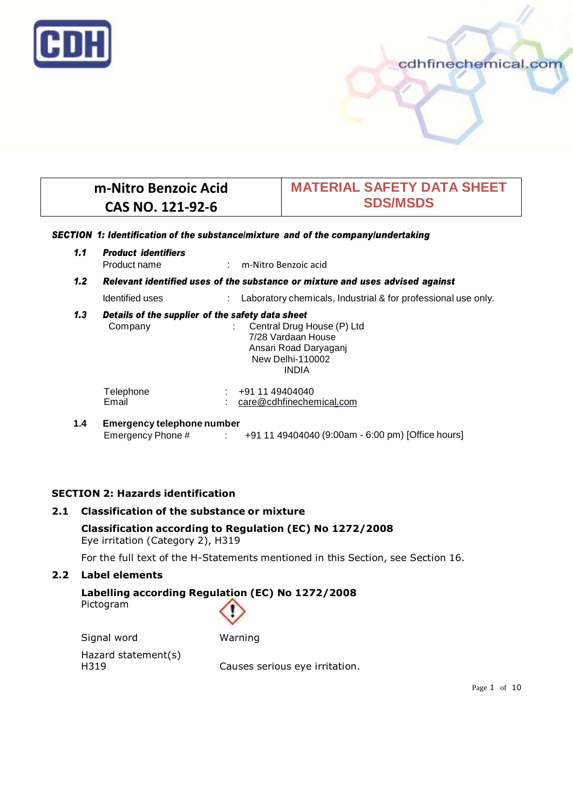

# **m-Nitro Benzoic Acid CAS NO. 121-92-6**

# **MATERIAL SAFETY DATA SHEET SDS/MSDS**

cdhfinechemical.con

### *SECTION 1: Identification of the substance/mixture and of the company/undertaking*

| 1.1              | <b>Product identifiers</b><br>Product name                                    | : m-Nitro Benzoic acid                                                                                                                                            |  |  |  |
|------------------|-------------------------------------------------------------------------------|-------------------------------------------------------------------------------------------------------------------------------------------------------------------|--|--|--|
| 1.2 <sub>2</sub> | Relevant identified uses of the substance or mixture and uses advised against |                                                                                                                                                                   |  |  |  |
|                  | Identified uses                                                               | Laboratory chemicals, Industrial & for professional use only.                                                                                                     |  |  |  |
| 1.3              | Company                                                                       | Details of the supplier of the safety data sheet<br>Central Drug House (P) Ltd<br>7/28 Vardaan House<br>Ansari Road Daryaganj<br>New Delhi-110002<br><b>INDIA</b> |  |  |  |
|                  | Telephone<br>Email                                                            | $\div$ +91 11 49404040<br>$:$ $\alpha$ re@cdhfinechemical.com                                                                                                     |  |  |  |
| 1 A              | Emergency telephone number                                                    |                                                                                                                                                                   |  |  |  |

**1.4 Emergency telephone number** Emergency Phone # : +91 11 49404040 (9:00am - 6:00 pm) [Office hours]

## **SECTION 2: Hazards identification**

### **2.1 Classification of the substance or mixture**

## **Classification according to Regulation (EC) No 1272/2008** Eye irritation (Category 2), H319

For the full text of the H-Statements mentioned in this Section, see Section 16.

## **2.2 Label elements**

# **Labelling according Regulation (EC) No 1272/2008** Pictogram



Signal word Warning

Hazard statement(s)

H319 Causes serious eye irritation.

Page 1 of 10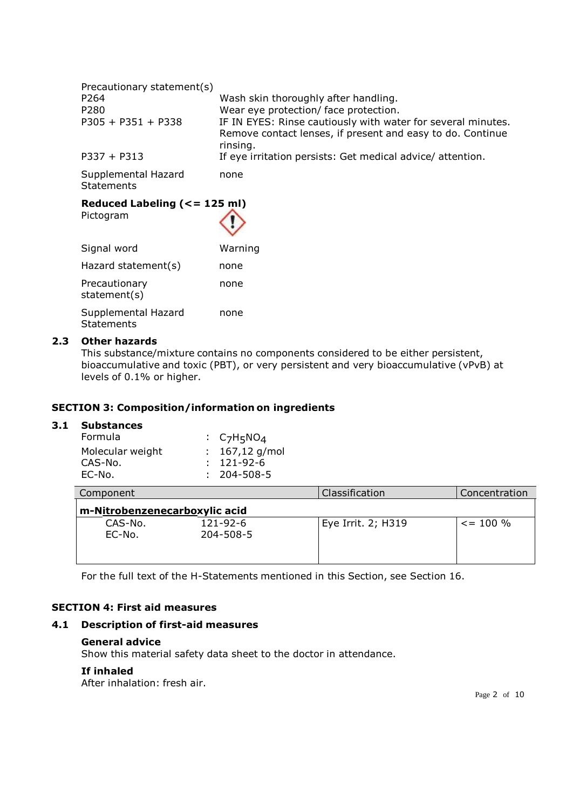| Precautionary statement(s)               |                                                                                                                                        |
|------------------------------------------|----------------------------------------------------------------------------------------------------------------------------------------|
| P264                                     | Wash skin thoroughly after handling.                                                                                                   |
| P280                                     | Wear eye protection/ face protection.                                                                                                  |
| $P305 + P351 + P338$                     | IF IN EYES: Rinse cautiously with water for several minutes.<br>Remove contact lenses, if present and easy to do. Continue<br>rinsing. |
| $P337 + P313$                            | If eye irritation persists: Get medical advice/attention.                                                                              |
| Supplemental Hazard<br><b>Statements</b> | none                                                                                                                                   |

#### **Reduced Labeling (<= 125 ml)** Pictogram

| Signal word                              | Warning |
|------------------------------------------|---------|
| Hazard statement(s)                      | none    |
| Precautionary<br>statement(s)            | none    |
| Supplemental Hazard<br><b>Statements</b> | none    |

### **2.3 Other hazards**

This substance/mixture contains no components considered to be either persistent, bioaccumulative and toxic (PBT), or very persistent and very bioaccumulative (vPvB) at levels of 0.1% or higher.

## **SECTION 3: Composition/information on ingredients**

# **3.1 Substances**

| Formula          | : $C_7H_5NO_4$    |
|------------------|-------------------|
| Molecular weight | : $167,12$ g/mol  |
| CAS-No.          | $: 121 - 92 - 6$  |
| EC-No.           | $: 204 - 508 - 5$ |
|                  |                   |

| Component                     |                             | Classification     | Concentration |  |  |
|-------------------------------|-----------------------------|--------------------|---------------|--|--|
| m-Nitrobenzenecarboxylic acid |                             |                    |               |  |  |
| CAS-No.<br>EC-No.             | $121 - 92 - 6$<br>204-508-5 | Eye Irrit. 2; H319 | $\le$ = 100 % |  |  |

For the full text of the H-Statements mentioned in this Section, see Section 16.

# **SECTION 4: First aid measures**

## **4.1 Description of first-aid measures**

#### **General advice**

Show this material safety data sheet to the doctor in attendance.

### **If inhaled**

After inhalation: fresh air.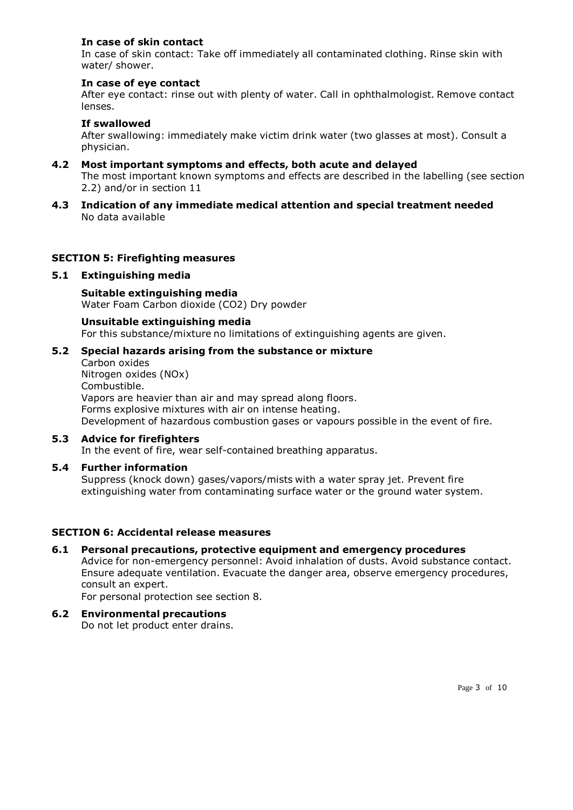## **In case of skin contact**

In case of skin contact: Take off immediately all contaminated clothing. Rinse skin with water/ shower.

#### **In case of eye contact**

After eye contact: rinse out with plenty of water. Call in ophthalmologist. Remove contact lenses.

## **If swallowed**

After swallowing: immediately make victim drink water (two glasses at most). Consult a physician.

- **4.2 Most important symptoms and effects, both acute and delayed** The most important known symptoms and effects are described in the labelling (see section 2.2) and/or in section 11
- **4.3 Indication of any immediate medical attention and special treatment needed** No data available

### **SECTION 5: Firefighting measures**

#### **5.1 Extinguishing media**

**Suitable extinguishing media** Water Foam Carbon dioxide (CO2) Dry powder

**Unsuitable extinguishing media** For this substance/mixture no limitations of extinguishing agents are given.

#### **5.2 Special hazards arising from the substance or mixture**

Carbon oxides Nitrogen oxides (NOx) Combustible. Vapors are heavier than air and may spread along floors. Forms explosive mixtures with air on intense heating. Development of hazardous combustion gases or vapours possible in the event of fire.

# **5.3 Advice for firefighters**

In the event of fire, wear self-contained breathing apparatus.

## **5.4 Further information**

Suppress (knock down) gases/vapors/mists with a water spray jet. Prevent fire extinguishing water from contaminating surface water or the ground water system.

### **SECTION 6: Accidental release measures**

#### **6.1 Personal precautions, protective equipment and emergency procedures** Advice for non-emergency personnel: Avoid inhalation of dusts. Avoid substance contact. Ensure adequate ventilation. Evacuate the danger area, observe emergency procedures, consult an expert.

For personal protection see section 8.

**6.2 Environmental precautions** Do not let product enter drains.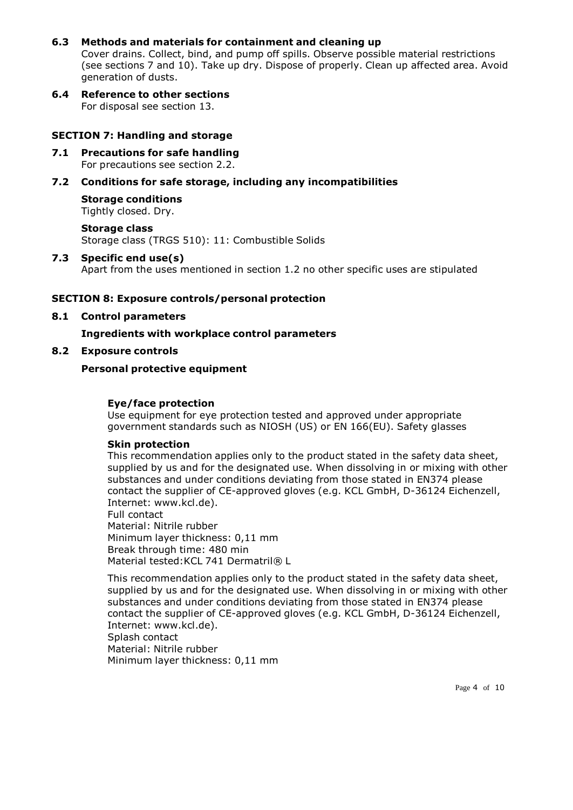## **6.3 Methods and materials for containment and cleaning up**

Cover drains. Collect, bind, and pump off spills. Observe possible material restrictions (see sections 7 and 10). Take up dry. Dispose of properly. Clean up affected area. Avoid generation of dusts.

**6.4 Reference to other sections** For disposal see section 13.

## **SECTION 7: Handling and storage**

**7.1 Precautions for safe handling** For precautions see section 2.2.

## **7.2 Conditions for safe storage, including any incompatibilities**

**Storage conditions** Tightly closed. Dry.

**Storage class** Storage class (TRGS 510): 11: Combustible Solids

#### **7.3 Specific end use(s)**

Apart from the uses mentioned in section 1.2 no other specific uses are stipulated

### **SECTION 8: Exposure controls/personal protection**

**8.1 Control parameters**

## **Ingredients with workplace control parameters**

**8.2 Exposure controls**

## **Personal protective equipment**

### **Eye/face protection**

Use equipment for eye protection tested and approved under appropriate government standards such as NIOSH (US) or EN 166(EU). Safety glasses

### **Skin protection**

This recommendation applies only to the product stated in the safety data sheet, supplied by us and for the designated use. When dissolving in or mixing with other substances and under conditions deviating from those stated in EN374 please contact the supplier of CE-approved gloves (e.g. KCL GmbH, D-36124 Eichenzell, Internet: [www.kcl.de](http://www.kcl.de/)).

Full contact Material: Nitrile rubber Minimum layer thickness: 0,11 mm Break through time: 480 min Material tested: KCL 741 Dermatril® L

This recommendation applies only to the product stated in the safety data sheet, supplied by us and for the designated use. When dissolving in or mixing with other substances and under conditions deviating from those stated in EN374 please contact the supplier of CE-approved gloves (e.g. KCL GmbH, D-36124 Eichenzell, Internet: [www.kcl.de](http://www.kcl.de/)). Splash contact Material: Nitrile rubber Minimum layer thickness: 0,11 mm

Page 4 of 10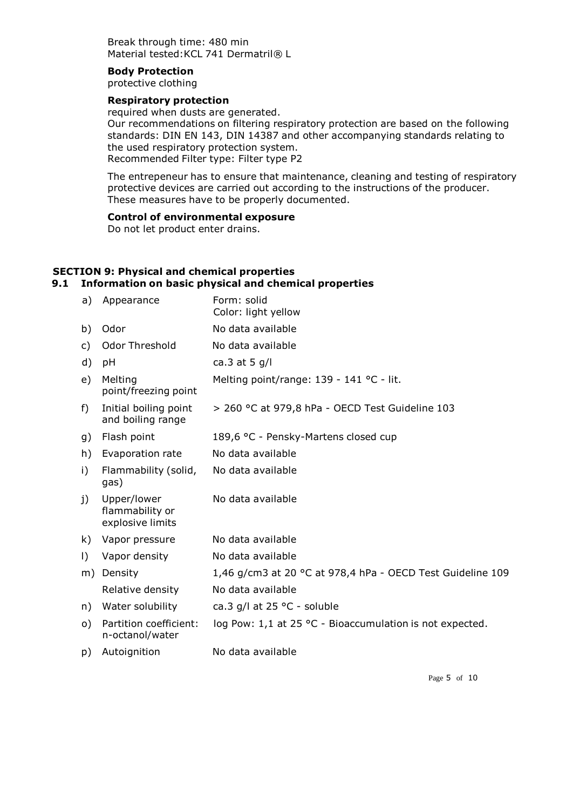Break through time: 480 min Material tested: KCL 741 Dermatril® L

#### **Body Protection**

protective clothing

## **Respiratory protection**

required when dusts are generated. Our recommendations on filtering respiratory protection are based on the following standards: DIN EN 143, DIN 14387 and other accompanying standards relating to the used respiratory protection system. Recommended Filter type: Filter type P2

The entrepeneur has to ensure that maintenance, cleaning and testing of respiratory protective devices are carried out according to the instructions of the producer. These measures have to be properly documented.

# **Control of environmental exposure**

Do not let product enter drains.

#### **SECTION 9: Physical and chemical properties 9.1 Information on basic physical and chemical properties**

| Appearance                                         | Form: solid<br>Color: light yellow                         |
|----------------------------------------------------|------------------------------------------------------------|
| Odor                                               | No data available                                          |
| Odor Threshold                                     | No data available                                          |
| рH                                                 | ca.3 at 5 $g/l$                                            |
| Melting<br>point/freezing point                    | Melting point/range: 139 - 141 °C - lit.                   |
| Initial boiling point<br>and boiling range         | > 260 °C at 979,8 hPa - OECD Test Guideline 103            |
| Flash point                                        | 189,6 °C - Pensky-Martens closed cup                       |
| Evaporation rate                                   | No data available                                          |
| Flammability (solid,<br>gas)                       | No data available                                          |
| Upper/lower<br>flammability or<br>explosive limits | No data available                                          |
| Vapor pressure                                     | No data available                                          |
| Vapor density                                      | No data available                                          |
| Density                                            | 1,46 g/cm3 at 20 °C at 978,4 hPa - OECD Test Guideline 109 |
| Relative density                                   | No data available                                          |
| Water solubility                                   | ca.3 g/l at 25 °C - soluble                                |
| Partition coefficient:<br>n-octanol/water          | log Pow: 1,1 at 25 °C - Bioaccumulation is not expected.   |
| Autoignition                                       | No data available                                          |
|                                                    |                                                            |

Page 5 of 10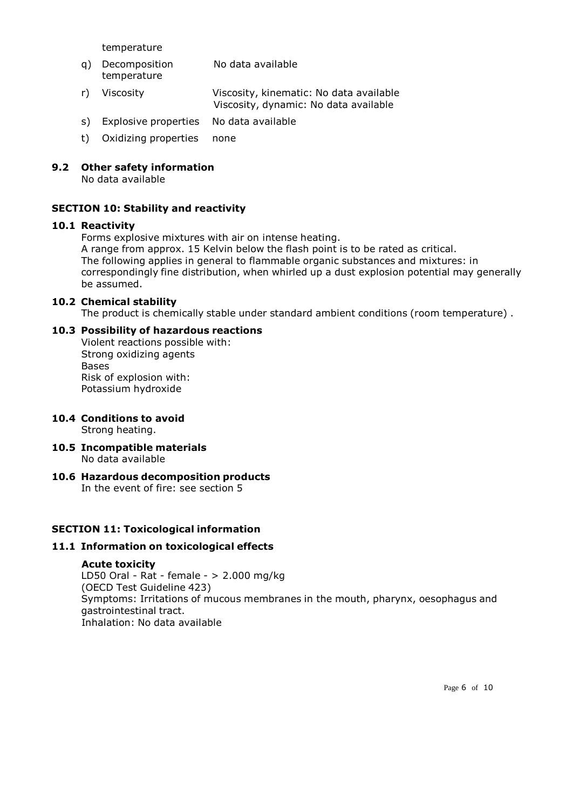temperature

- q) Decomposition temperature No data available
- r) Viscosity Viscosity, kinematic: No data available Viscosity, dynamic: No data available
- s) Explosive properties No data available
- t) Oxidizing properties none

## **9.2 Other safety information**

No data available

## **SECTION 10: Stability and reactivity**

## **10.1 Reactivity**

Forms explosive mixtures with air on intense heating.

A range from approx. 15 Kelvin below the flash point is to be rated as critical. The following applies in general to flammable organic substances and mixtures: in correspondingly fine distribution, when whirled up a dust explosion potential may generally be assumed.

### **10.2 Chemical stability**

The product is chemically stable under standard ambient conditions (room temperature) .

## **10.3 Possibility of hazardous reactions**

Violent reactions possible with: Strong oxidizing agents **Bases** Risk of explosion with: Potassium hydroxide

# **10.4 Conditions to avoid**

Strong heating.

**10.5 Incompatible materials** No data available

# **10.6 Hazardous decomposition products**

In the event of fire: see section 5

## **SECTION 11: Toxicological information**

## **11.1 Information on toxicological effects**

### **Acute toxicity**

LD50 Oral - Rat - female - > 2.000 mg/kg (OECD Test Guideline 423) Symptoms: Irritations of mucous membranes in the mouth, pharynx, oesophagus and gastrointestinal tract. Inhalation: No data available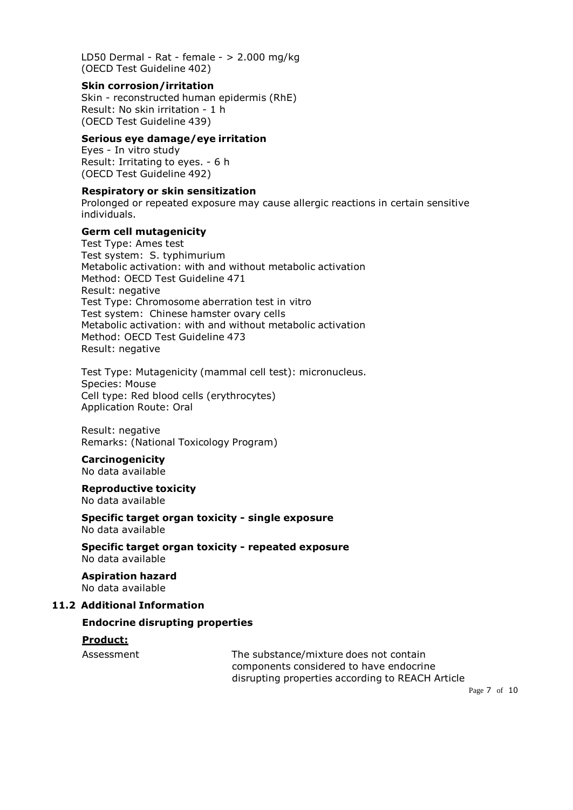LD50 Dermal - Rat - female - > 2.000 mg/kg (OECD Test Guideline 402)

#### **Skin corrosion/irritation**

Skin - reconstructed human epidermis (RhE) Result: No skin irritation - 1 h (OECD Test Guideline 439)

## **Serious eye damage/eye irritation**

Eyes - In vitro study Result: Irritating to eyes. - 6 h (OECD Test Guideline 492)

## **Respiratory or skin sensitization**

Prolonged or repeated exposure may cause allergic reactions in certain sensitive individuals.

### **Germ cell mutagenicity**

Test Type: Ames test Test system: S. typhimurium Metabolic activation: with and without metabolic activation Method: OECD Test Guideline 471 Result: negative Test Type: Chromosome aberration test in vitro Test system: Chinese hamster ovary cells Metabolic activation: with and without metabolic activation Method: OECD Test Guideline 473 Result: negative

Test Type: Mutagenicity (mammal cell test): micronucleus. Species: Mouse Cell type: Red blood cells (erythrocytes) Application Route: Oral

Result: negative Remarks: (National Toxicology Program)

# **Carcinogenicity**

No data available

#### **Reproductive toxicity** No data available

**Specific target organ toxicity - single exposure**

No data available

**Specific target organ toxicity - repeated exposure** No data available

**Aspiration hazard** No data available

## **11.2 Additional Information**

## **Endocrine disrupting properties**

## **Product:**

Assessment The substance/mixture does not contain components considered to have endocrine disrupting properties according to REACH Article

Page 7 of 10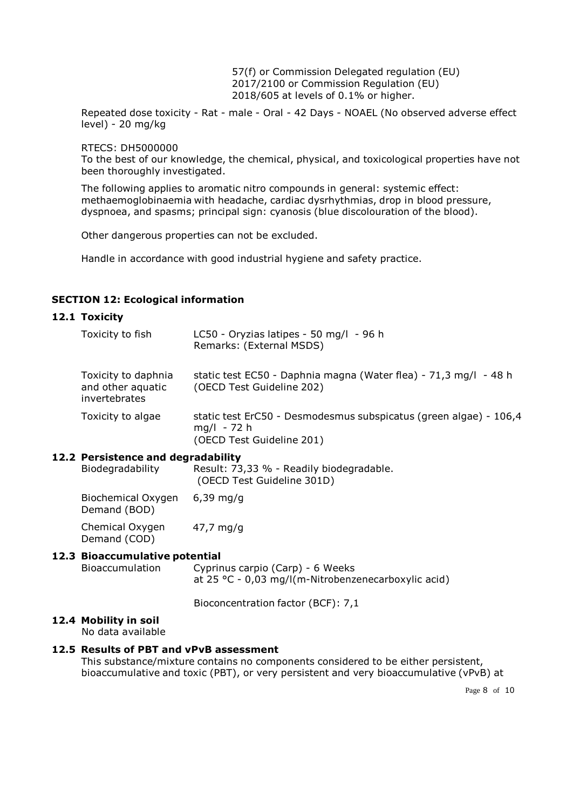57(f) or Commission Delegated regulation (EU) 2017/2100 or Commission Regulation (EU) 2018/605 at levels of 0.1% or higher.

Repeated dose toxicity - Rat - male - Oral - 42 Days - NOAEL (No observed adverse effect level) - 20 mg/kg

RTECS: DH5000000

To the best of our knowledge, the chemical, physical, and toxicological properties have not been thoroughly investigated.

The following applies to aromatic nitro compounds in general: systemic effect: methaemoglobinaemia with headache, cardiac dysrhythmias, drop in blood pressure, dyspnoea, and spasms; principal sign: cyanosis (blue discolouration of the blood).

Other dangerous properties can not be excluded.

Handle in accordance with good industrial hygiene and safety practice.

## **SECTION 12: Ecological information**

#### **12.1 Toxicity**

 $12.2$ 

| Toxicity to fish                                          | LC50 - Oryzias latipes - 50 mg/l - 96 h<br>Remarks: (External MSDS)                                           |
|-----------------------------------------------------------|---------------------------------------------------------------------------------------------------------------|
| Toxicity to daphnia<br>and other aquatic<br>invertebrates | static test EC50 - Daphnia magna (Water flea) - 71,3 mg/l - 48 h<br>(OECD Test Guideline 202)                 |
| Toxicity to algae                                         | static test ErC50 - Desmodesmus subspicatus (green algae) - 106,4<br>mg/l - 72 h<br>(OECD Test Guideline 201) |
| <b>Persistence and degradability</b>                      |                                                                                                               |

| Biodegradability   | Result: 73,33 % - Readily biodegradable.<br>(OECD Test Guideline 301D) |
|--------------------|------------------------------------------------------------------------|
| Biochemical Oxygen | 6,39 ma/a                                                              |

Demand (BOD) Chemical Oxygen 47,7 mg/g

#### **12.3 Bioaccumulative potential**

Demand (COD)

Bioaccumulation Cyprinus carpio (Carp) - 6 Weeks at 25 °C - 0,03 mg/l(m-Nitrobenzenecarboxylic acid)

Bioconcentration factor (BCF): 7,1

#### **12.4 Mobility in soil**

No data available

#### **12.5 Results of PBT and vPvB assessment**

This substance/mixture contains no components considered to be either persistent, bioaccumulative and toxic (PBT), or very persistent and very bioaccumulative (vPvB) at

Page 8 of 10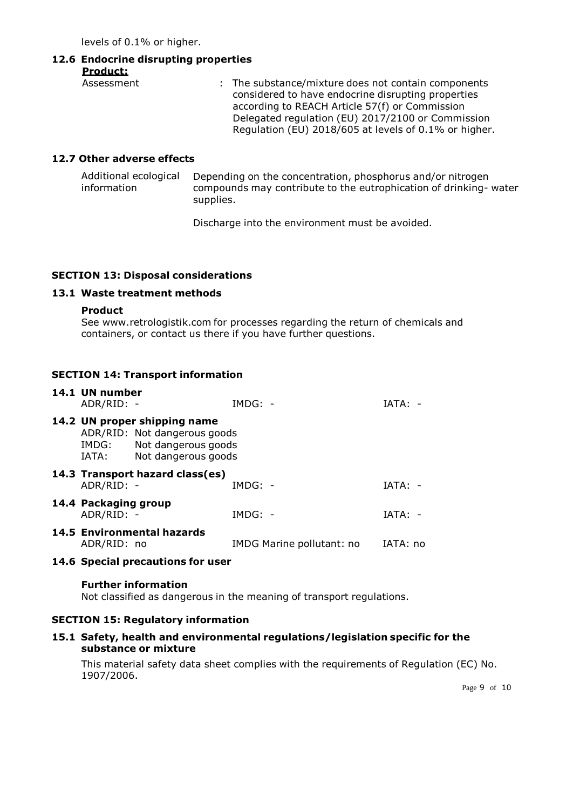levels of 0.1% or higher.

# **12.6 Endocrine disrupting properties**

**Product:**

| Assessment | : The substance/mixture does not contain components<br>considered to have endocrine disrupting properties<br>according to REACH Article 57(f) or Commission<br>Delegated regulation (EU) 2017/2100 or Commission |
|------------|------------------------------------------------------------------------------------------------------------------------------------------------------------------------------------------------------------------|
|            | Regulation (EU) 2018/605 at levels of 0.1% or higher.                                                                                                                                                            |

# **12.7 Other adverse effects**

Additional ecological information Depending on the concentration, phosphorus and/or nitrogen compounds may contribute to the eutrophication of drinking- water supplies.

Discharge into the environment must be avoided.

## **SECTION 13: Disposal considerations**

## **13.1 Waste treatment methods**

#### **Product**

See [www.retrologistik.com](http://www.retrologistik.com/) for processes regarding the return of chemicals and containers, or contact us there if you have further questions.

## **SECTION 14: Transport information**

| 14.1 UN number<br>ADR/RID: -       |                                                                                                                  | $IMDG: -$                 | IATA:    |  |
|------------------------------------|------------------------------------------------------------------------------------------------------------------|---------------------------|----------|--|
| IATA:                              | 14.2 UN proper shipping name<br>ADR/RID: Not dangerous goods<br>IMDG: Not dangerous goods<br>Not dangerous goods |                           |          |  |
| ADR/RID: -                         | 14.3 Transport hazard class(es)                                                                                  | $IMDG: -$                 | IATA:    |  |
| 14.4 Packaging group<br>ADR/RID: - |                                                                                                                  | $IMDG: -$                 | TATA: -  |  |
| ADR/RID: no                        | <b>14.5 Environmental hazards</b>                                                                                | IMDG Marine pollutant: no | IATA: no |  |

### **14.6 Special precautions for user**

### **Further information**

Not classified as dangerous in the meaning of transport regulations.

### **SECTION 15: Regulatory information**

## **15.1 Safety, health and environmental regulations/legislation specific for the substance or mixture**

This material safety data sheet complies with the requirements of Regulation (EC) No. 1907/2006.

Page 9 of 10